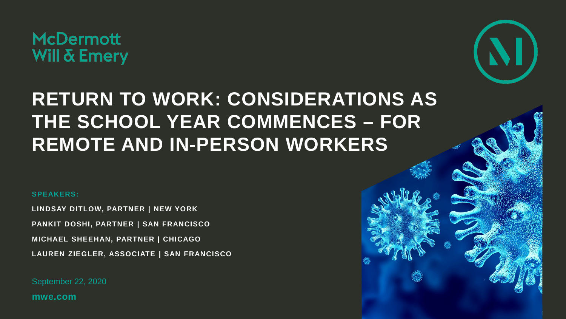

# **RETURN TO WORK: CONSIDERATIONS AS THE SCHOOL YEAR COMMENCES – FOR REMOTE AND IN-PERSON WORKERS**

#### **SPEAKERS:**

**LINDSAY DITLOW, PARTNER | NEW YORK PANKIT DOSHI, PARTNER | SAN FRANCISCO MICHAEL SHEEHAN, PARTNER | CHICAGO LAUREN ZIEGLER, ASSOCIATE | SAN FRANCISCO** 

September 22, 2020

**mwe.com**

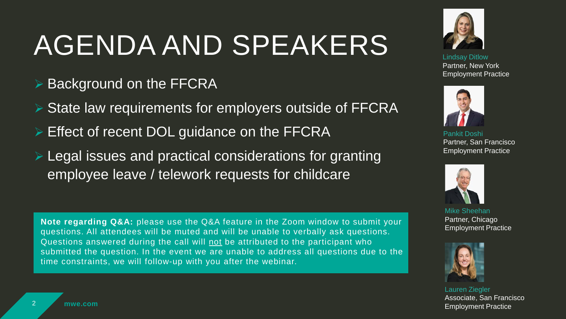# AGENDA AND SPEAKERS

- **Background on the FFCRA**
- ▶ State law requirements for employers outside of FFCRA
- Effect of recent DOL guidance on the FFCRA
- Legal issues and practical considerations for granting employee leave / telework requests for childcare

**Note regarding Q&A:** please use the Q&A feature in the Zoom window to submit your questions. All attendees will be muted and will be unable to verbally ask questions. Questions answered during the call will not be attributed to the participant who submitted the question. In the event we are unable to address all questions due to the time constraints, we will follow-up with you after the webinar.



Lindsay Ditlow Partner, New York Employment Practice



Pankit Doshi Partner, San Francisco Employment Practice



Mike Sheehan Partner, Chicago Employment Practice



Lauren Ziegler Associate, San Francisco Employment Practice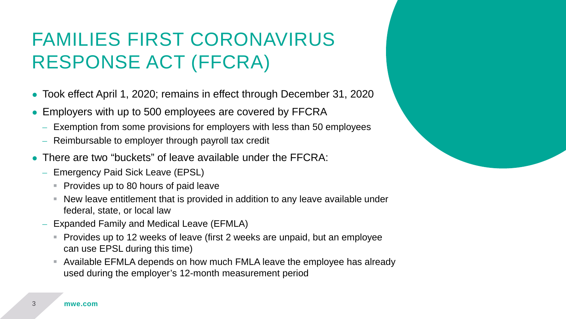### FAMILIES FIRST CORONAVIRUS RESPONSE ACT (FFCRA)

- Took effect April 1, 2020; remains in effect through December 31, 2020
- Employers with up to 500 employees are covered by FFCRA
	- Exemption from some provisions for employers with less than 50 employees
	- Reimbursable to employer through payroll tax credit
- There are two "buckets" of leave available under the FFCRA:
	- Emergency Paid Sick Leave (EPSL)
		- **Provides up to 80 hours of paid leave**
		- New leave entitlement that is provided in addition to any leave available under federal, state, or local law
	- Expanded Family and Medical Leave (EFMLA)
		- Provides up to 12 weeks of leave (first 2 weeks are unpaid, but an employee can use EPSL during this time)
		- Available EFMLA depends on how much FMLA leave the employee has already used during the employer's 12-month measurement period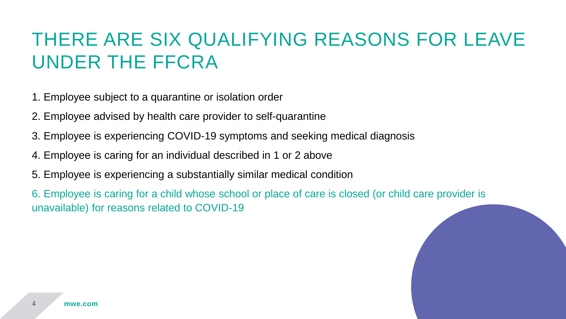### THERE ARE SIX QUALIFYING REASONS FOR LEAVE UNDER THE FFCRA

1. Employee subject to a quarantine or isolation order

- 2. Employee advised by health care provider to self-quarantine
- 3. Employee is experiencing COVID-19 symptoms and seeking medical diagnosis
- 4. Employee is caring for an individual described in 1 or 2 above
- 5. Employee is experiencing a substantially similar medical condition

6. Employee is caring for a child whose school or place of care is closed (or child care provider is unavailable) for reasons related to COVID-19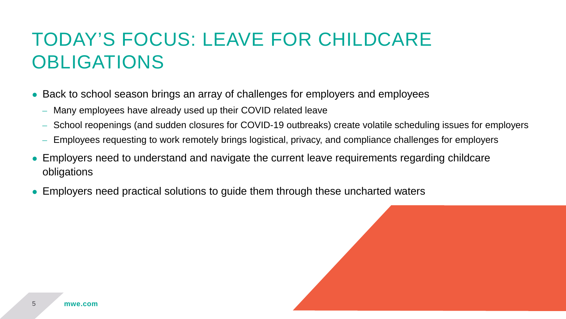### TODAY'S FOCUS: LEAVE FOR CHILDCARE OBLIGATIONS

- Back to school season brings an array of challenges for employers and employees
	- Many employees have already used up their COVID related leave
	- School reopenings (and sudden closures for COVID-19 outbreaks) create volatile scheduling issues for employers
	- Employees requesting to work remotely brings logistical, privacy, and compliance challenges for employers
- Employers need to understand and navigate the current leave requirements regarding childcare obligations
- Employers need practical solutions to guide them through these uncharted waters

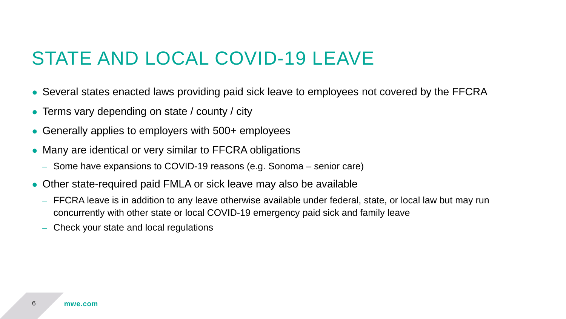#### STATE AND LOCAL COVID-19 LEAVE

- Several states enacted laws providing paid sick leave to employees not covered by the FFCRA
- Terms vary depending on state / county / city
- Generally applies to employers with 500+ employees
- Many are identical or very similar to FFCRA obligations
	- Some have expansions to COVID-19 reasons (e.g. Sonoma senior care)
- Other state-required paid FMLA or sick leave may also be available
	- FFCRA leave is in addition to any leave otherwise available under federal, state, or local law but may run concurrently with other state or local COVID-19 emergency paid sick and family leave
	- Check your state and local regulations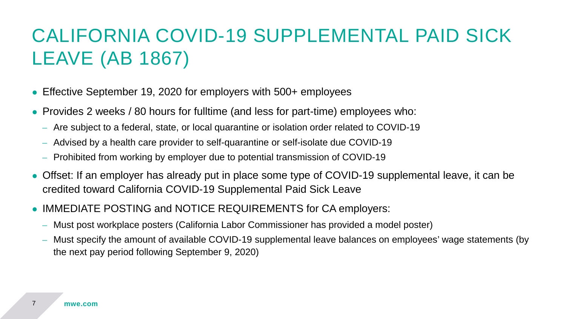# CALIFORNIA COVID-19 SUPPLEMENTAL PAID SICK LEAVE (AB 1867)

- Effective September 19, 2020 for employers with 500+ employees
- Provides 2 weeks / 80 hours for fulltime (and less for part-time) employees who:
	- Are subject to a federal, state, or local quarantine or isolation order related to COVID-19
	- Advised by a health care provider to self-quarantine or self-isolate due COVID-19
	- Prohibited from working by employer due to potential transmission of COVID-19
- Offset: If an employer has already put in place some type of COVID-19 supplemental leave, it can be credited toward California COVID-19 Supplemental Paid Sick Leave
- IMMEDIATE POSTING and NOTICE REQUIREMENTS for CA employers:
	- Must post workplace posters (California Labor Commissioner has provided a model poster)
	- Must specify the amount of available COVID-19 supplemental leave balances on employees' wage statements (by the next pay period following September 9, 2020)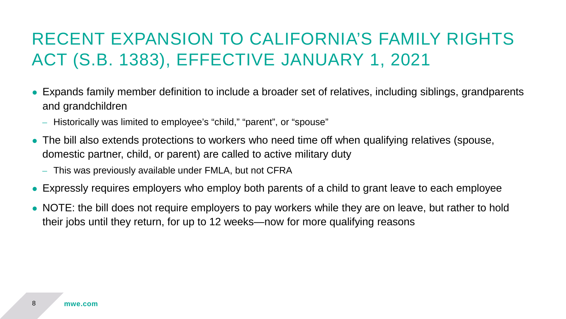#### RECENT EXPANSION TO CALIFORNIA'S FAMILY RIGHTS ACT (S.B. 1383), EFFECTIVE JANUARY 1, 2021

- Expands family member definition to include a broader set of relatives, including siblings, grandparents and grandchildren
	- Historically was limited to employee's "child," "parent", or "spouse"
- The bill also extends protections to workers who need time off when qualifying relatives (spouse, domestic partner, child, or parent) are called to active military duty
	- This was previously available under FMLA, but not CFRA
- Expressly requires employers who employ both parents of a child to grant leave to each employee
- NOTE: the bill does not require employers to pay workers while they are on leave, but rather to hold their jobs until they return, for up to 12 weeks—now for more qualifying reasons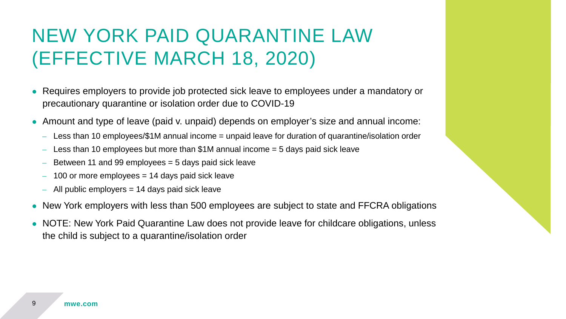#### NEW YORK PAID QUARANTINE LAW (EFFECTIVE MARCH 18, 2020)

- Requires employers to provide job protected sick leave to employees under a mandatory or precautionary quarantine or isolation order due to COVID-19
- Amount and type of leave (paid v. unpaid) depends on employer's size and annual income:
	- Less than 10 employees/\$1M annual income = unpaid leave for duration of quarantine/isolation order
	- $-$  Less than 10 employees but more than \$1M annual income  $=$  5 days paid sick leave
	- $-$  Between 11 and 99 employees  $=$  5 days paid sick leave
	- 100 or more employees  $= 14$  days paid sick leave
	- All public employers = 14 days paid sick leave
- New York employers with less than 500 employees are subject to state and FFCRA obligations
- NOTE: New York Paid Quarantine Law does not provide leave for childcare obligations, unless the child is subject to a quarantine/isolation order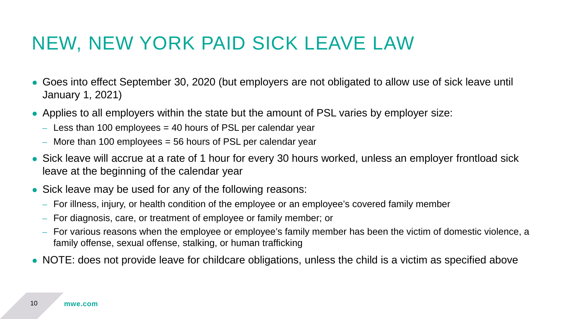### NEW, NEW YORK PAID SICK LEAVE LAW

- Goes into effect September 30, 2020 (but employers are not obligated to allow use of sick leave until January 1, 2021)
- Applies to all employers within the state but the amount of PSL varies by employer size:
	- $-$  Less than 100 employees  $=$  40 hours of PSL per calendar year
	- $-$  More than 100 employees  $=$  56 hours of PSL per calendar year
- Sick leave will accrue at a rate of 1 hour for every 30 hours worked, unless an employer frontload sick leave at the beginning of the calendar year
- Sick leave may be used for any of the following reasons:
	- For illness, injury, or health condition of the employee or an employee's covered family member
	- For diagnosis, care, or treatment of employee or family member; or
	- For various reasons when the employee or employee's family member has been the victim of domestic violence, a family offense, sexual offense, stalking, or human trafficking
- NOTE: does not provide leave for childcare obligations, unless the child is a victim as specified above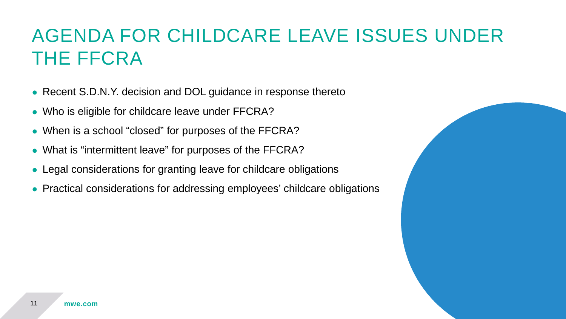### AGENDA FOR CHILDCARE LEAVE ISSUES UNDER THE FFCRA

- Recent S.D.N.Y. decision and DOL guidance in response thereto
- Who is eligible for childcare leave under FFCRA?
- When is a school "closed" for purposes of the FFCRA?
- What is "intermittent leave" for purposes of the FFCRA?
- Legal considerations for granting leave for childcare obligations
- Practical considerations for addressing employees' childcare obligations

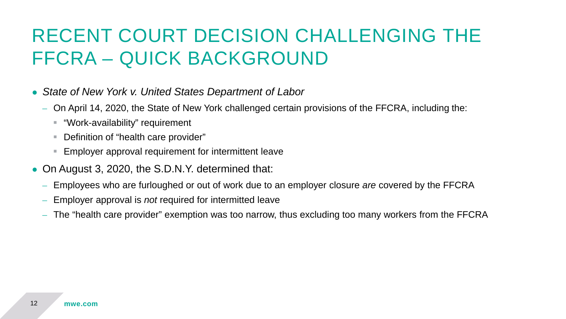#### RECENT COURT DECISION CHALLENGING THE FFCRA – QUICK BACKGROUND

- *State of New York v. United States Department of Labor*
	- On April 14, 2020, the State of New York challenged certain provisions of the FFCRA, including the:
		- "Work-availability" requirement
		- Definition of "health care provider"
		- Employer approval requirement for intermittent leave
- On August 3, 2020, the S.D.N.Y. determined that:
	- Employees who are furloughed or out of work due to an employer closure *are* covered by the FFCRA
	- Employer approval is *not* required for intermitted leave
	- The "health care provider" exemption was too narrow, thus excluding too many workers from the FFCRA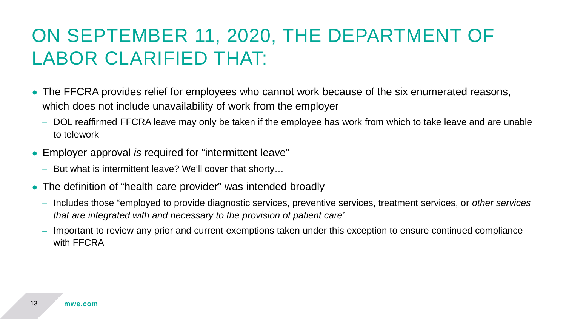### ON SEPTEMBER 11, 2020, THE DEPARTMENT OF LABOR CLARIFIED THAT:

- The FFCRA provides relief for employees who cannot work because of the six enumerated reasons, which does not include unavailability of work from the employer
	- DOL reaffirmed FFCRA leave may only be taken if the employee has work from which to take leave and are unable to telework
- Employer approval *is* required for "intermittent leave"
	- But what is intermittent leave? We'll cover that shorty…
- The definition of "health care provider" was intended broadly
	- Includes those "employed to provide diagnostic services, preventive services, treatment services, or *other services that are integrated with and necessary to the provision of patient care*"
	- Important to review any prior and current exemptions taken under this exception to ensure continued compliance with FFCRA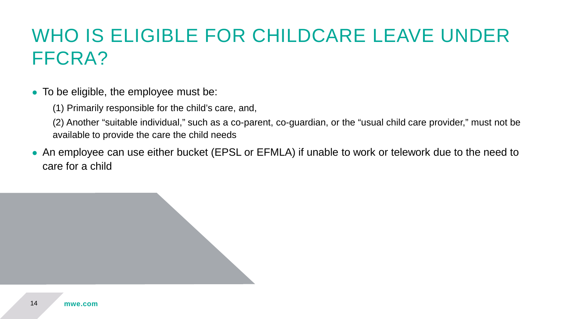# WHO IS ELIGIBLE FOR CHILDCARE LEAVE UNDER FFCRA?

- To be eligible, the employee must be:
	- (1) Primarily responsible for the child's care, and,

(2) Another "suitable individual," such as a co-parent, co-guardian, or the "usual child care provider," must not be available to provide the care the child needs

• An employee can use either bucket (EPSL or EFMLA) if unable to work or telework due to the need to care for a child

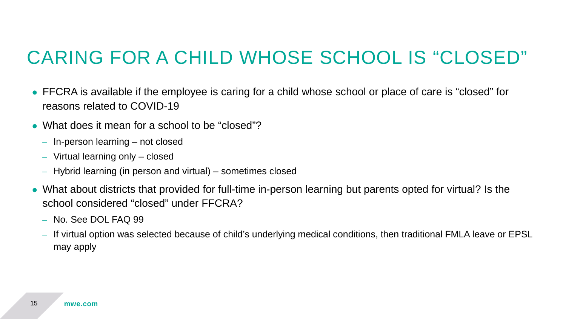#### CARING FOR A CHILD WHOSE SCHOOL IS "CLOSED"

- FFCRA is available if the employee is caring for a child whose school or place of care is "closed" for reasons related to COVID-19
- What does it mean for a school to be "closed"?
	- In-person learning not closed
	- Virtual learning only closed
	- Hybrid learning (in person and virtual) sometimes closed
- What about districts that provided for full-time in-person learning but parents opted for virtual? Is the school considered "closed" under FFCRA?
	- No. See DOL FAQ 99
	- If virtual option was selected because of child's underlying medical conditions, then traditional FMLA leave or EPSL may apply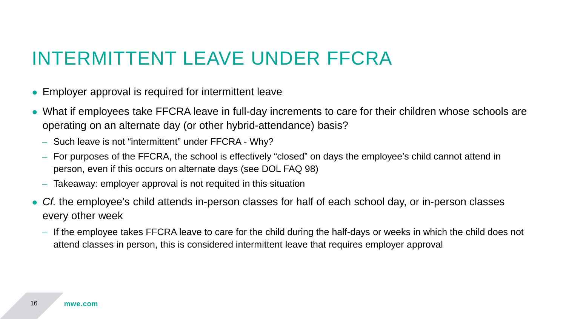#### INTERMITTENT LEAVE UNDER FFCRA

- Employer approval is required for intermittent leave
- What if employees take FFCRA leave in full-day increments to care for their children whose schools are operating on an alternate day (or other hybrid-attendance) basis?
	- Such leave is not "intermittent" under FFCRA Why?
	- For purposes of the FFCRA, the school is effectively "closed" on days the employee's child cannot attend in person, even if this occurs on alternate days (see DOL FAQ 98)
	- Takeaway: employer approval is not requited in this situation
- Cf. the employee's child attends in-person classes for half of each school day, or in-person classes every other week
	- If the employee takes FFCRA leave to care for the child during the half-days or weeks in which the child does not attend classes in person, this is considered intermittent leave that requires employer approval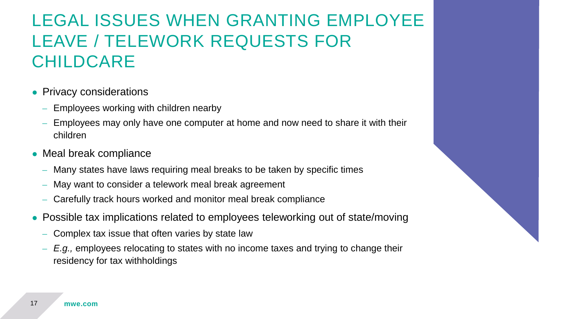#### LEGAL ISSUES WHEN GRANTING EMPLOYEE LEAVE / TELEWORK REQUESTS FOR CHILDCARE

- Privacy considerations
	- Employees working with children nearby
	- Employees may only have one computer at home and now need to share it with their children
- Meal break compliance
	- Many states have laws requiring meal breaks to be taken by specific times
	- May want to consider a telework meal break agreement
	- Carefully track hours worked and monitor meal break compliance
- Possible tax implications related to employees teleworking out of state/moving
	- Complex tax issue that often varies by state law
	- *E.g.,* employees relocating to states with no income taxes and trying to change their residency for tax withholdings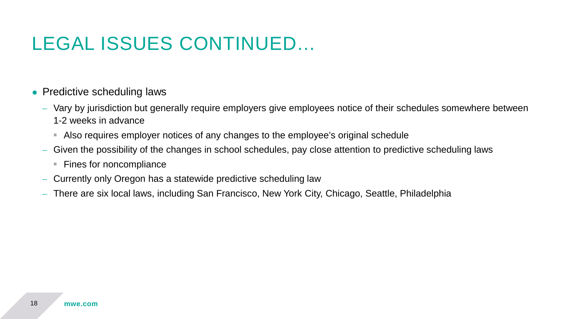# LEGAL ISSUES CONTINUED…

- Predictive scheduling laws
	- Vary by jurisdiction but generally require employers give employees notice of their schedules somewhere between 1-2 weeks in advance
		- Also requires employer notices of any changes to the employee's original schedule
	- Given the possibility of the changes in school schedules, pay close attention to predictive scheduling laws
		- Fines for noncompliance
	- Currently only Oregon has a statewide predictive scheduling law
	- There are six local laws, including San Francisco, New York City, Chicago, Seattle, Philadelphia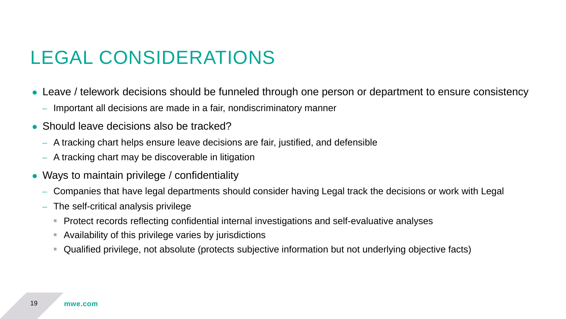### LEGAL CONSIDERATIONS

- Leave / telework decisions should be funneled through one person or department to ensure consistency
	- Important all decisions are made in a fair, nondiscriminatory manner
- Should leave decisions also be tracked?
	- A tracking chart helps ensure leave decisions are fair, justified, and defensible
	- A tracking chart may be discoverable in litigation
- Ways to maintain privilege / confidentiality
	- Companies that have legal departments should consider having Legal track the decisions or work with Legal
	- The self-critical analysis privilege
		- Protect records reflecting confidential internal investigations and self-evaluative analyses
		- Availability of this privilege varies by jurisdictions
		- Qualified privilege, not absolute (protects subjective information but not underlying objective facts)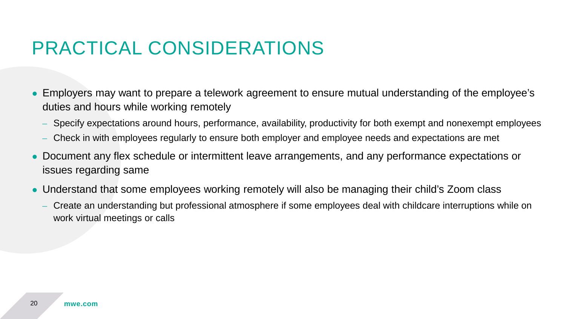#### PRACTICAL CONSIDERATIONS

- Employers may want to prepare a telework agreement to ensure mutual understanding of the employee's duties and hours while working remotely
	- Specify expectations around hours, performance, availability, productivity for both exempt and nonexempt employees
	- Check in with employees regularly to ensure both employer and employee needs and expectations are met
- Document any flex schedule or intermittent leave arrangements, and any performance expectations or issues regarding same
- Understand that some employees working remotely will also be managing their child's Zoom class
	- Create an understanding but professional atmosphere if some employees deal with childcare interruptions while on work virtual meetings or calls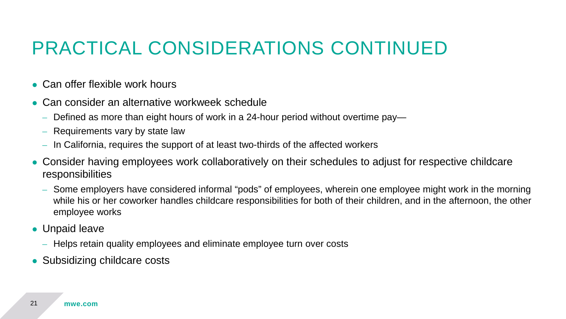#### PRACTICAL CONSIDERATIONS CONTINUED

- $\bullet$  Can offer flexible work hours
- Can consider an alternative workweek schedule
	- Defined as more than eight hours of work in a 24-hour period without overtime pay—
	- Requirements vary by state law
	- In California, requires the support of at least two-thirds of the affected workers
- Consider having employees work collaboratively on their schedules to adjust for respective childcare responsibilities
	- Some employers have considered informal "pods" of employees, wherein one employee might work in the morning while his or her coworker handles childcare responsibilities for both of their children, and in the afternoon, the other employee works
- Unpaid leave
	- Helps retain quality employees and eliminate employee turn over costs
- Subsidizing childcare costs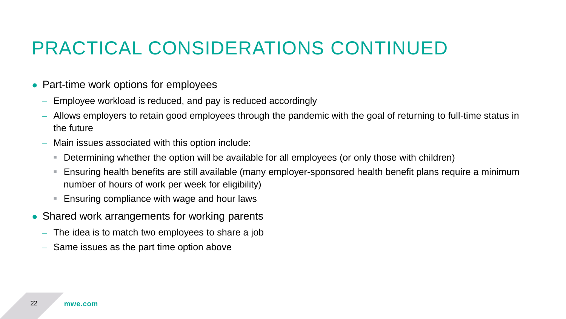#### PRACTICAL CONSIDERATIONS CONTINUED

- Part-time work options for employees
	- Employee workload is reduced, and pay is reduced accordingly
	- Allows employers to retain good employees through the pandemic with the goal of returning to full-time status in the future
	- Main issues associated with this option include:
		- Determining whether the option will be available for all employees (or only those with children)
		- Ensuring health benefits are still available (many employer-sponsored health benefit plans require a minimum number of hours of work per week for eligibility)
		- **Ensuring compliance with wage and hour laws**
- Shared work arrangements for working parents
	- The idea is to match two employees to share a job
	- Same issues as the part time option above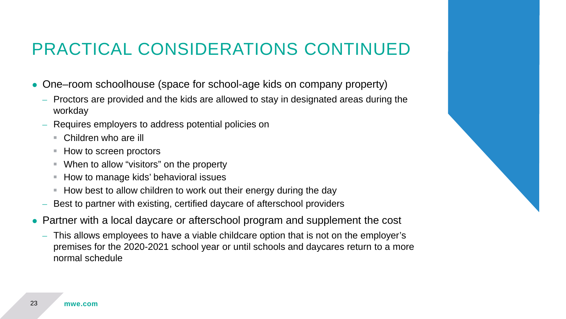#### PRACTICAL CONSIDERATIONS CONTINUED

- One–room schoolhouse (space for school-age kids on company property)
	- Proctors are provided and the kids are allowed to stay in designated areas during the workday
	- Requires employers to address potential policies on
		- Children who are ill
		- How to screen proctors
		- When to allow "visitors" on the property
		- How to manage kids' behavioral issues
		- $\blacksquare$  How best to allow children to work out their energy during the day
	- Best to partner with existing, certified daycare of afterschool providers
- Partner with a local daycare or afterschool program and supplement the cost
	- This allows employees to have a viable childcare option that is not on the employer's premises for the 2020-2021 school year or until schools and daycares return to a more normal schedule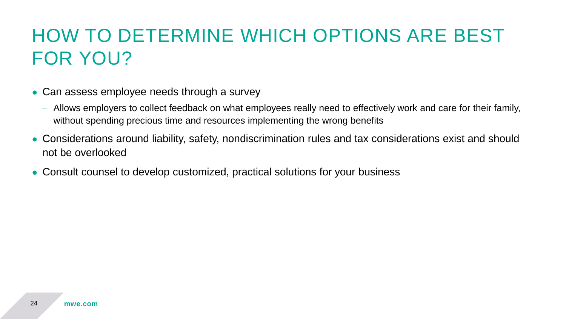## HOW TO DETERMINE WHICH OPTIONS ARE BEST FOR YOU?

- Can assess employee needs through a survey
	- Allows employers to collect feedback on what employees really need to effectively work and care for their family, without spending precious time and resources implementing the wrong benefits
- Considerations around liability, safety, nondiscrimination rules and tax considerations exist and should not be overlooked
- Consult counsel to develop customized, practical solutions for your business